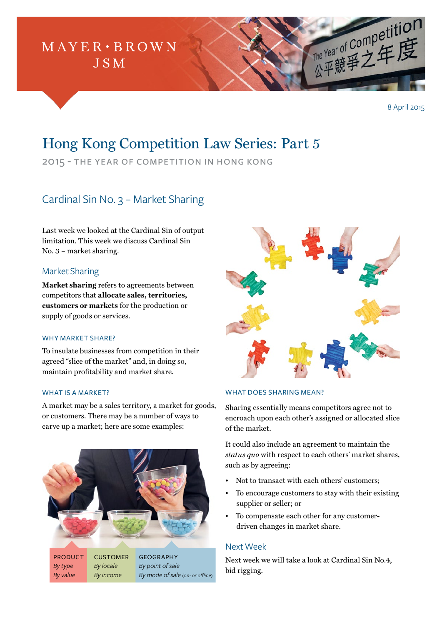

8 April 2015

# Hong Kong Competition Law Series: Part 5

2015 - the year of competition in hong kong

# Cardinal Sin No. 3 – Market Sharing

Last week we looked at the Cardinal Sin of output limitation. This week we discuss Cardinal Sin No. 3 – market sharing.

# Market Sharing

**Market sharing** refers to agreements between competitors that **allocate sales, territories, customers or markets** for the production or supply of goods or services.

#### WHY MARKET SHARE?

To insulate businesses from competition in their agreed "slice of the market" and, in doing so, maintain profitability and market share.

#### WHAT IS A MARKET?

A market may be a sales territory, a market for goods, or customers. There may be a number of ways to carve up a market; here are some examples:





#### WHAT DOES SHARING MEAN?

Sharing essentially means competitors agree not to encroach upon each other's assigned or allocated slice of the market.

It could also include an agreement to maintain the *status quo* with respect to each others' market shares, such as by agreeing:

- Not to transact with each others' customers;
- To encourage customers to stay with their existing supplier or seller; or
- To compensate each other for any customerdriven changes in market share.

## Next Week

Next week we will take a look at Cardinal Sin No.4, bid rigging.